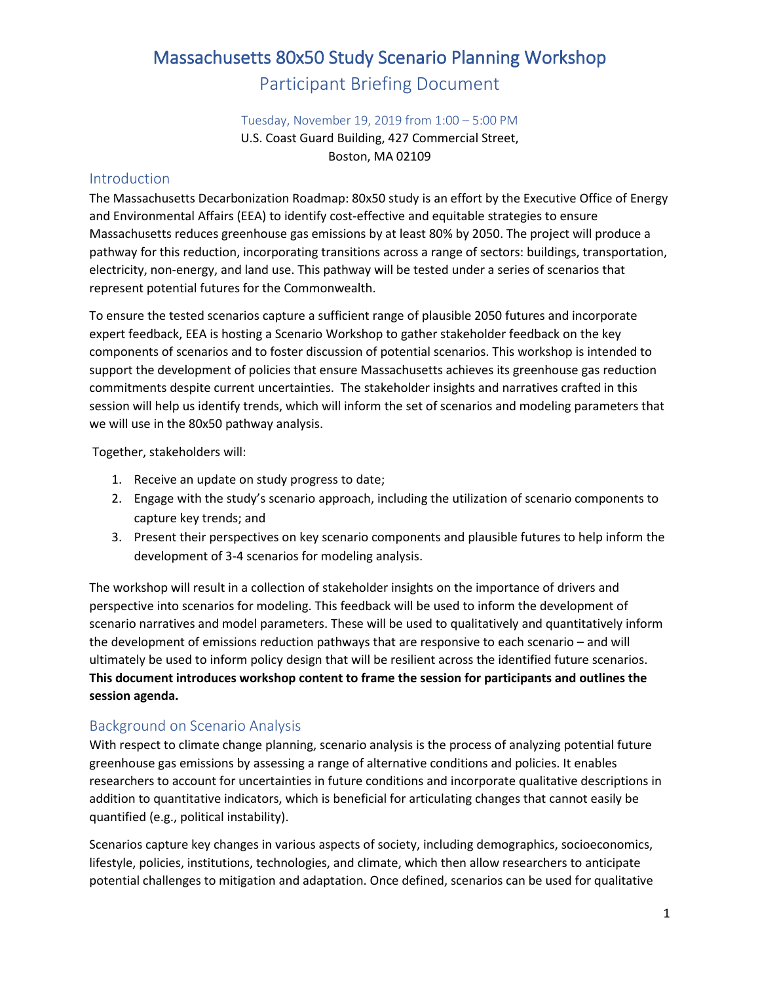# Massachusetts 80x50 Study Scenario Planning Workshop Participant Briefing Document

#### Tuesday, November 19, 2019 from 1:00 – 5:00 PM

U.S. Coast Guard Building, 427 Commercial Street, Boston, MA 02109

#### Introduction

The Massachusetts Decarbonization Roadmap: 80x50 study is an effort by the Executive Office of Energy and Environmental Affairs (EEA) to identify cost-effective and equitable strategies to ensure Massachusetts reduces greenhouse gas emissions by at least 80% by 2050. The project will produce a pathway for this reduction, incorporating transitions across a range of sectors: buildings, transportation, electricity, non-energy, and land use. This pathway will be tested under a series of scenarios that represent potential futures for the Commonwealth.

To ensure the tested scenarios capture a sufficient range of plausible 2050 futures and incorporate expert feedback, EEA is hosting a Scenario Workshop to gather stakeholder feedback on the key components of scenarios and to foster discussion of potential scenarios. This workshop is intended to support the development of policies that ensure Massachusetts achieves its greenhouse gas reduction commitments despite current uncertainties. The stakeholder insights and narratives crafted in this session will help us identify trends, which will inform the set of scenarios and modeling parameters that we will use in the 80x50 pathway analysis.

Together, stakeholders will:

- 1. Receive an update on study progress to date;
- 2. Engage with the study's scenario approach, including the utilization of scenario components to capture key trends; and
- 3. Present their perspectives on key scenario components and plausible futures to help inform the development of 3-4 scenarios for modeling analysis.

The workshop will result in a collection of stakeholder insights on the importance of drivers and perspective into scenarios for modeling. This feedback will be used to inform the development of scenario narratives and model parameters. These will be used to qualitatively and quantitatively inform the development of emissions reduction pathways that are responsive to each scenario – and will ultimately be used to inform policy design that will be resilient across the identified future scenarios. **This document introduces workshop content to frame the session for participants and outlines the session agenda.**

#### Background on Scenario Analysis

With respect to climate change planning, scenario analysis is the process of analyzing potential future greenhouse gas emissions by assessing a range of alternative conditions and policies. It enables researchers to account for uncertainties in future conditions and incorporate qualitative descriptions in addition to quantitative indicators, which is beneficial for articulating changes that cannot easily be quantified (e.g., political instability).

Scenarios capture key changes in various aspects of society, including demographics, socioeconomics, lifestyle, policies, institutions, technologies, and climate, which then allow researchers to anticipate potential challenges to mitigation and adaptation. Once defined, scenarios can be used for qualitative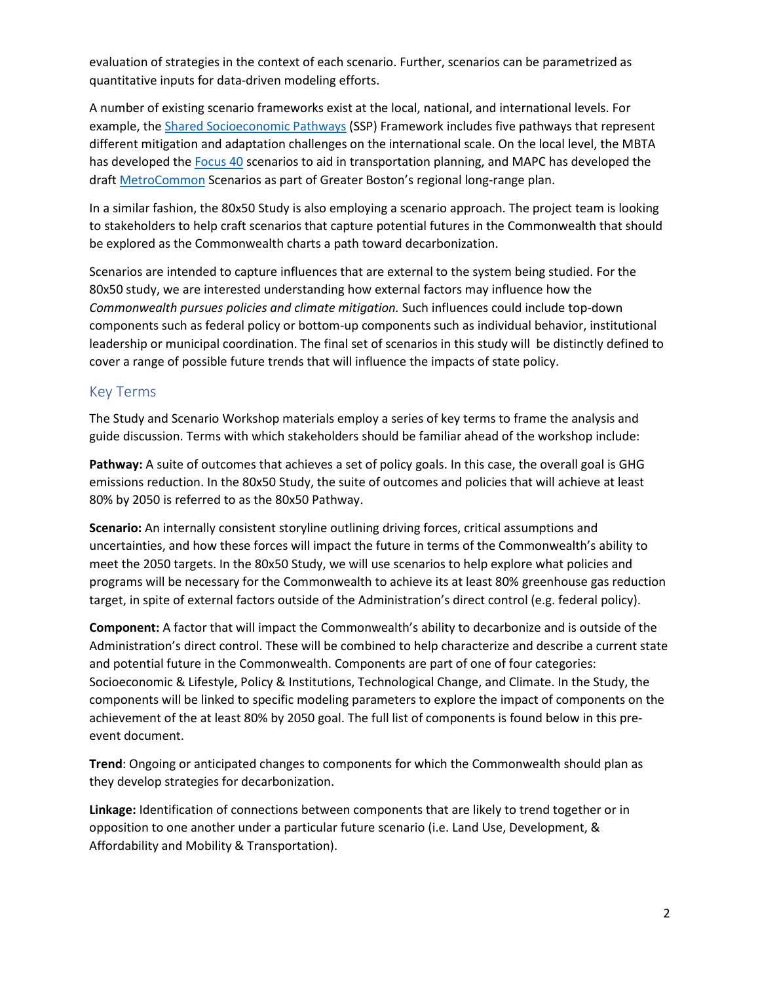evaluation of strategies in the context of each scenario. Further, scenarios can be parametrized as quantitative inputs for data-driven modeling efforts.

A number of existing scenario frameworks exist at the local, national, and international levels. For example, th[e Shared Socioeconomic Pathways](https://www.carbonbrief.org/explainer-how-shared-socioeconomic-pathways-explore-future-climate-change) (SSP) Framework includes five pathways that represent different mitigation and adaptation challenges on the international scale. On the local level, the MBTA has developed the [Focus 40](https://www.mbtafocus40.com/) scenarios to aid in transportation planning, and MAPC has developed the draft [MetroCommon](https://metrocommon.mapc.org/) Scenarios as part of Greater Boston's regional long-range plan.

In a similar fashion, the 80x50 Study is also employing a scenario approach. The project team is looking to stakeholders to help craft scenarios that capture potential futures in the Commonwealth that should be explored as the Commonwealth charts a path toward decarbonization.

Scenarios are intended to capture influences that are external to the system being studied. For the 80x50 study, we are interested understanding how external factors may influence how the *Commonwealth pursues policies and climate mitigation.* Such influences could include top-down components such as federal policy or bottom-up components such as individual behavior, institutional leadership or municipal coordination. The final set of scenarios in this study will be distinctly defined to cover a range of possible future trends that will influence the impacts of state policy.

#### Key Terms

The Study and Scenario Workshop materials employ a series of key terms to frame the analysis and guide discussion. Terms with which stakeholders should be familiar ahead of the workshop include:

Pathway: A suite of outcomes that achieves a set of policy goals. In this case, the overall goal is GHG emissions reduction. In the 80x50 Study, the suite of outcomes and policies that will achieve at least 80% by 2050 is referred to as the 80x50 Pathway.

**Scenario:** An internally consistent storyline outlining driving forces, critical assumptions and uncertainties, and how these forces will impact the future in terms of the Commonwealth's ability to meet the 2050 targets. In the 80x50 Study, we will use scenarios to help explore what policies and programs will be necessary for the Commonwealth to achieve its at least 80% greenhouse gas reduction target, in spite of external factors outside of the Administration's direct control (e.g. federal policy).

**Component:** A factor that will impact the Commonwealth's ability to decarbonize and is outside of the Administration's direct control. These will be combined to help characterize and describe a current state and potential future in the Commonwealth. Components are part of one of four categories: Socioeconomic & Lifestyle, Policy & Institutions, Technological Change, and Climate. In the Study, the components will be linked to specific modeling parameters to explore the impact of components on the achievement of the at least 80% by 2050 goal. The full list of components is found below in this preevent document.

**Trend**: Ongoing or anticipated changes to components for which the Commonwealth should plan as they develop strategies for decarbonization.

**Linkage:** Identification of connections between components that are likely to trend together or in opposition to one another under a particular future scenario (i.e. Land Use, Development, & Affordability and Mobility & Transportation).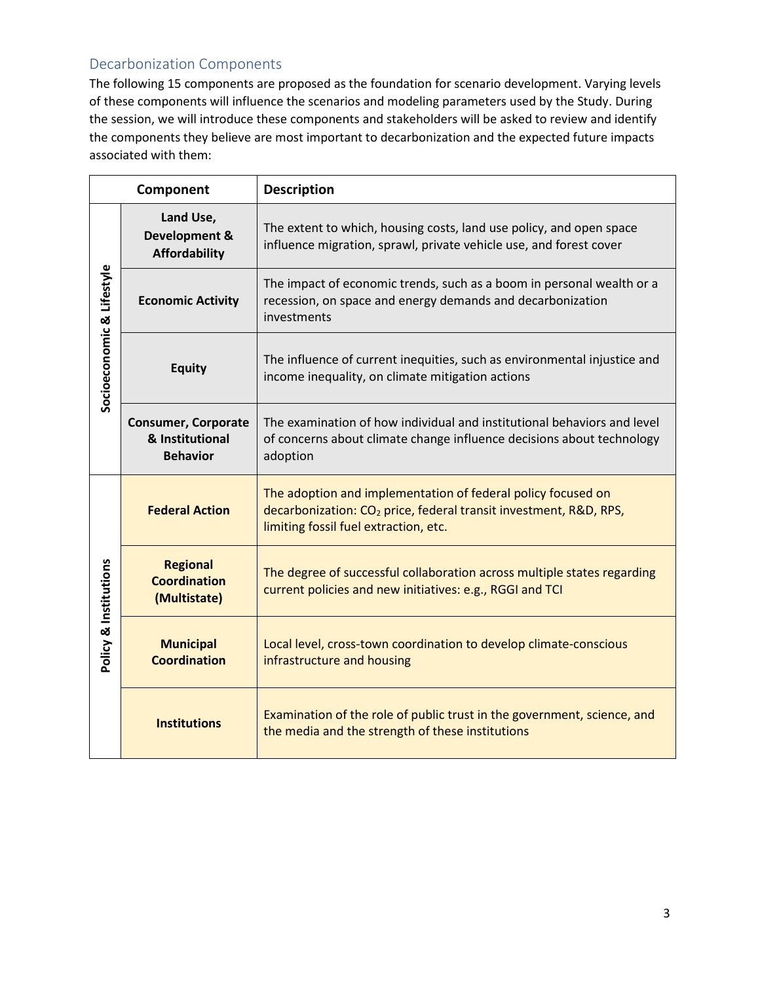## Decarbonization Components

The following 15 components are proposed as the foundation for scenario development. Varying levels of these components will influence the scenarios and modeling parameters used by the Study. During the session, we will introduce these components and stakeholders will be asked to review and identify the components they believe are most important to decarbonization and the expected future impacts associated with them:

| Component                 |                                                                  | <b>Description</b>                                                                                                                                                                     |
|---------------------------|------------------------------------------------------------------|----------------------------------------------------------------------------------------------------------------------------------------------------------------------------------------|
| Socioeconomic & Lifestyle | Land Use,<br>Development &<br><b>Affordability</b>               | The extent to which, housing costs, land use policy, and open space<br>influence migration, sprawl, private vehicle use, and forest cover                                              |
|                           | <b>Economic Activity</b>                                         | The impact of economic trends, such as a boom in personal wealth or a<br>recession, on space and energy demands and decarbonization<br>investments                                     |
|                           | <b>Equity</b>                                                    | The influence of current inequities, such as environmental injustice and<br>income inequality, on climate mitigation actions                                                           |
|                           | <b>Consumer, Corporate</b><br>& Institutional<br><b>Behavior</b> | The examination of how individual and institutional behaviors and level<br>of concerns about climate change influence decisions about technology<br>adoption                           |
| Policy & Institutions     | <b>Federal Action</b>                                            | The adoption and implementation of federal policy focused on<br>decarbonization: CO <sub>2</sub> price, federal transit investment, R&D, RPS,<br>limiting fossil fuel extraction, etc. |
|                           | <b>Regional</b><br><b>Coordination</b><br>(Multistate)           | The degree of successful collaboration across multiple states regarding<br>current policies and new initiatives: e.g., RGGI and TCI                                                    |
|                           | <b>Municipal</b><br><b>Coordination</b>                          | Local level, cross-town coordination to develop climate-conscious<br>infrastructure and housing                                                                                        |
|                           | <b>Institutions</b>                                              | Examination of the role of public trust in the government, science, and<br>the media and the strength of these institutions                                                            |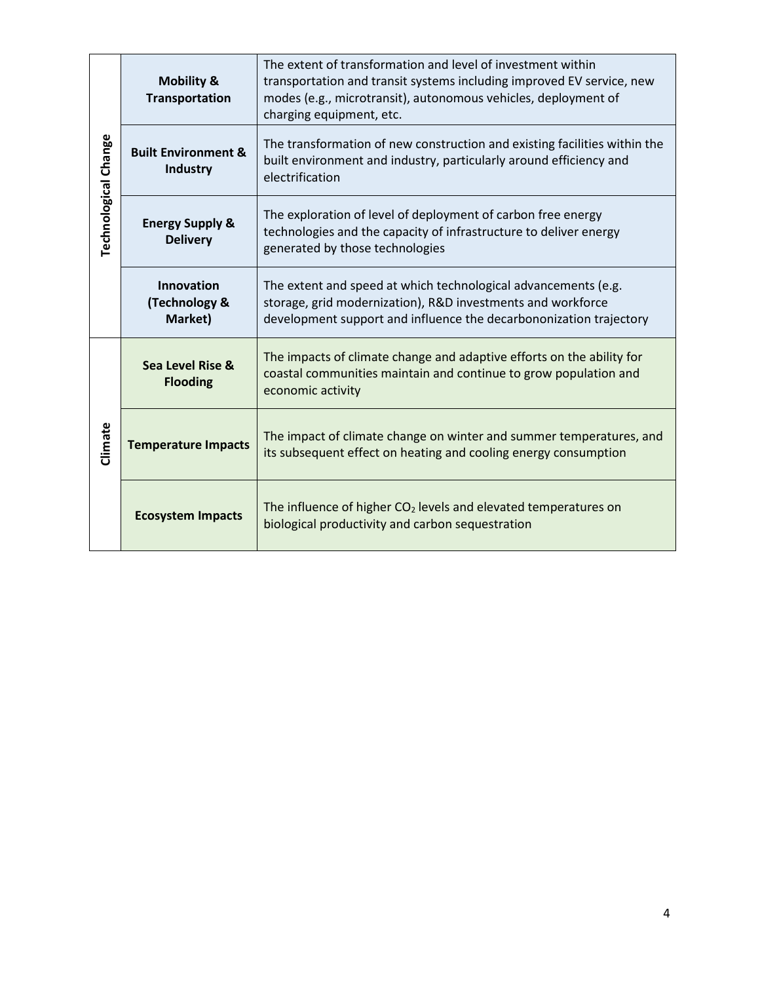|                      | <b>Mobility &amp;</b><br><b>Transportation</b>    | The extent of transformation and level of investment within<br>transportation and transit systems including improved EV service, new<br>modes (e.g., microtransit), autonomous vehicles, deployment of<br>charging equipment, etc. |  |
|----------------------|---------------------------------------------------|------------------------------------------------------------------------------------------------------------------------------------------------------------------------------------------------------------------------------------|--|
| Technological Change | <b>Built Environment &amp;</b><br><b>Industry</b> | The transformation of new construction and existing facilities within the<br>built environment and industry, particularly around efficiency and<br>electrification                                                                 |  |
|                      | <b>Energy Supply &amp;</b><br><b>Delivery</b>     | The exploration of level of deployment of carbon free energy<br>technologies and the capacity of infrastructure to deliver energy<br>generated by those technologies                                                               |  |
|                      | <b>Innovation</b><br>(Technology &<br>Market)     | The extent and speed at which technological advancements (e.g.<br>storage, grid modernization), R&D investments and workforce<br>development support and influence the decarbononization trajectory                                |  |
| Climate              | Sea Level Rise &<br><b>Flooding</b>               | The impacts of climate change and adaptive efforts on the ability for<br>coastal communities maintain and continue to grow population and<br>economic activity                                                                     |  |
|                      | <b>Temperature Impacts</b>                        | The impact of climate change on winter and summer temperatures, and<br>its subsequent effect on heating and cooling energy consumption                                                                                             |  |
|                      | <b>Ecosystem Impacts</b>                          | The influence of higher $CO2$ levels and elevated temperatures on<br>biological productivity and carbon sequestration                                                                                                              |  |